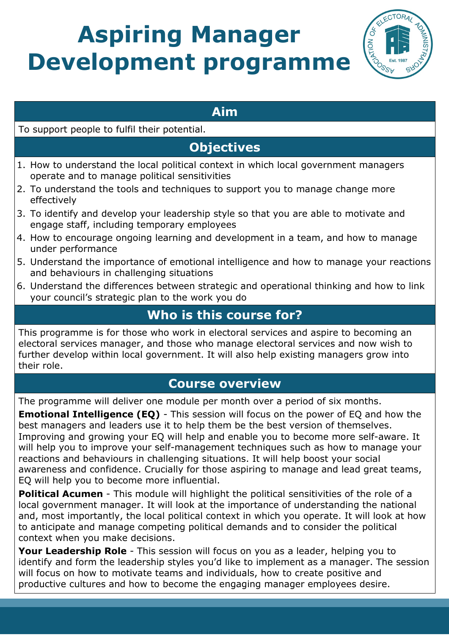# **Aspiring Manager Development programme**



## **Aim**

#### To support people to fulfil their potential.

# **Objectives**

- 1. How to understand the local political context in which local government managers operate and to manage political sensitivities
- 2. To understand the tools and techniques to support you to manage change more effectively
- 3. To identify and develop your leadership style so that you are able to motivate and engage staff, including temporary employees
- 4. How to encourage ongoing learning and development in a team, and how to manage under performance
- 5. Understand the importance of emotional intelligence and how to manage your reactions and behaviours in challenging situations
- 6. Understand the differences between strategic and operational thinking and how to link your council's strategic plan to the work you do

## **Who is this course for?**

This programme is for those who work in electoral services and aspire to becoming an electoral services manager, and those who manage electoral services and now wish to further develop within local government. It will also help existing managers grow into their role.

## **Course overview**

The programme will deliver one module per month over a period of six months.

**Emotional Intelligence (EQ)** - This session will focus on the power of EQ and how the best managers and leaders use it to help them be the best version of themselves. Improving and growing your EQ will help and enable you to become more self-aware. It will help you to improve your self-management techniques such as how to manage your reactions and behaviours in challenging situations. It will help boost your social awareness and confidence. Crucially for those aspiring to manage and lead great teams, EQ will help you to become more influential.

**Political Acumen** - This module will highlight the political sensitivities of the role of a local government manager. It will look at the importance of understanding the national and, most importantly, the local political context in which you operate. It will look at how to anticipate and manage competing political demands and to consider the political context when you make decisions.

**Your Leadership Role** - This session will focus on you as a leader, helping you to identify and form the leadership styles you'd like to implement as a manager. The session will focus on how to motivate teams and individuals, how to create positive and productive cultures and how to become the engaging manager employees desire.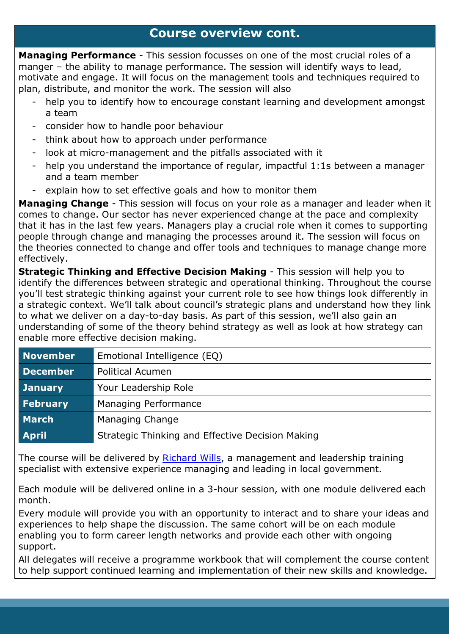#### **Course overview cont.**

**Managing Performance** - This session focusses on one of the most crucial roles of a manger – the ability to manage performance. The session will identify ways to lead, motivate and engage. It will focus on the management tools and techniques required to plan, distribute, and monitor the work. The session will also

- help you to identify how to encourage constant learning and development amongst a team
- consider how to handle poor behaviour
- think about how to approach under performance
- look at micro-management and the pitfalls associated with it
- help you understand the importance of regular, impactful 1:1s between a manager and a team member
- explain how to set effective goals and how to monitor them

**Managing Change** - This session will focus on your role as a manager and leader when it comes to change. Our sector has never experienced change at the pace and complexity that it has in the last few years. Managers play a crucial role when it comes to supporting people through change and managing the processes around it. The session will focus on the theories connected to change and offer tools and techniques to manage change more effectively.

**Strategic Thinking and Effective Decision Making** - This session will help you to identify the differences between strategic and operational thinking. Throughout the course you'll test strategic thinking against your current role to see how things look differently in a strategic context. We'll talk about council's strategic plans and understand how they link to what we deliver on a day-to-day basis. As part of this session, we'll also gain an understanding of some of the theory behind strategy as well as look at how strategy can enable more effective decision making.

| <b>November</b> | Emotional Intelligence (EQ)                      |
|-----------------|--------------------------------------------------|
| <b>December</b> | <b>Political Acumen</b>                          |
| <b>January</b>  | Your Leadership Role                             |
| February        | Managing Performance                             |
| March           | Managing Change                                  |
| <b>April</b>    | Strategic Thinking and Effective Decision Making |

The course will be delivered by [Richard Wills,](https://www.rw-training.co.uk/) a management and leadership training specialist with extensive experience managing and leading in local government.

Each module will be delivered online in a 3-hour session, with one module delivered each month.

Every module will provide you with an opportunity to interact and to share your ideas and experiences to help shape the discussion. The same cohort will be on each module enabling you to form career length networks and provide each other with ongoing support.

All delegates will receive a programme workbook that will complement the course content to help support continued learning and implementation of their new skills and knowledge.